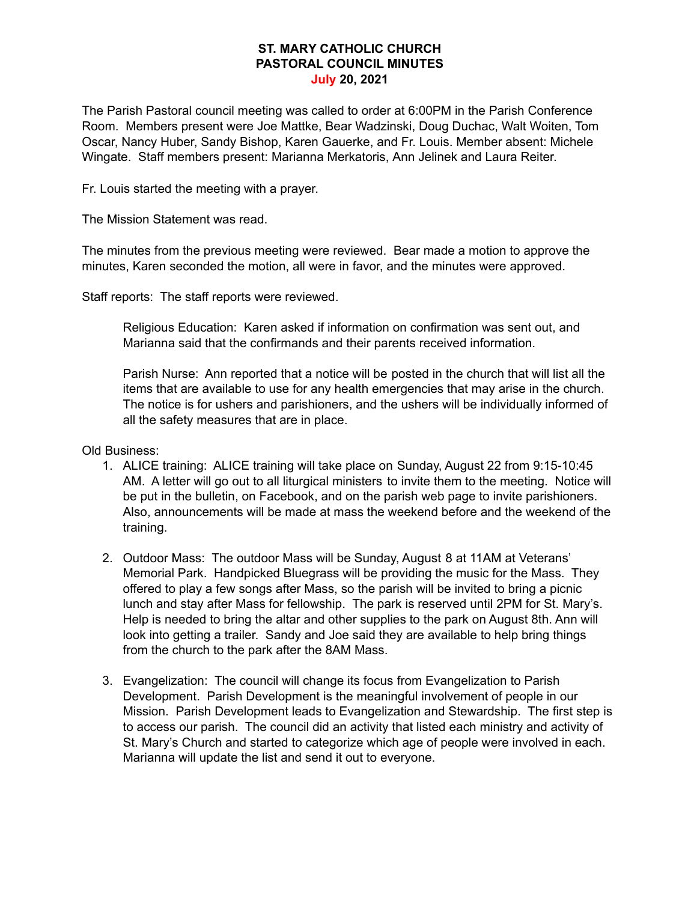## **ST. MARY CATHOLIC CHURCH PASTORAL COUNCIL MINUTES July 20, 2021**

The Parish Pastoral council meeting was called to order at 6:00PM in the Parish Conference Room. Members present were Joe Mattke, Bear Wadzinski, Doug Duchac, Walt Woiten, Tom Oscar, Nancy Huber, Sandy Bishop, Karen Gauerke, and Fr. Louis. Member absent: Michele Wingate. Staff members present: Marianna Merkatoris, Ann Jelinek and Laura Reiter.

Fr. Louis started the meeting with a prayer.

The Mission Statement was read.

The minutes from the previous meeting were reviewed. Bear made a motion to approve the minutes, Karen seconded the motion, all were in favor, and the minutes were approved.

Staff reports: The staff reports were reviewed.

Religious Education: Karen asked if information on confirmation was sent out, and Marianna said that the confirmands and their parents received information.

Parish Nurse: Ann reported that a notice will be posted in the church that will list all the items that are available to use for any health emergencies that may arise in the church. The notice is for ushers and parishioners, and the ushers will be individually informed of all the safety measures that are in place.

Old Business:

- 1. ALICE training: ALICE training will take place on Sunday, August 22 from 9:15-10:45 AM. A letter will go out to all liturgical ministers to invite them to the meeting. Notice will be put in the bulletin, on Facebook, and on the parish web page to invite parishioners. Also, announcements will be made at mass the weekend before and the weekend of the training.
- 2. Outdoor Mass: The outdoor Mass will be Sunday, August 8 at 11AM at Veterans' Memorial Park. Handpicked Bluegrass will be providing the music for the Mass. They offered to play a few songs after Mass, so the parish will be invited to bring a picnic lunch and stay after Mass for fellowship. The park is reserved until 2PM for St. Mary's. Help is needed to bring the altar and other supplies to the park on August 8th. Ann will look into getting a trailer. Sandy and Joe said they are available to help bring things from the church to the park after the 8AM Mass.
- 3. Evangelization: The council will change its focus from Evangelization to Parish Development. Parish Development is the meaningful involvement of people in our Mission. Parish Development leads to Evangelization and Stewardship. The first step is to access our parish. The council did an activity that listed each ministry and activity of St. Mary's Church and started to categorize which age of people were involved in each. Marianna will update the list and send it out to everyone.